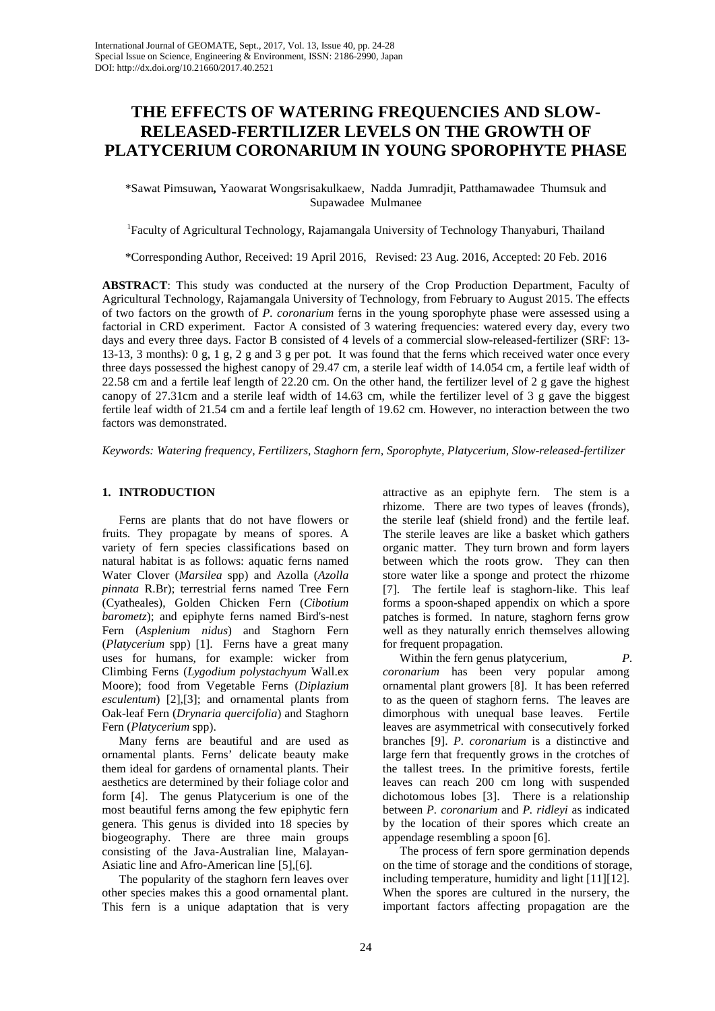# **THE EFFECTS OF WATERING FREQUENCIES AND SLOW-RELEASED-FERTILIZER LEVELS ON THE GROWTH OF PLATYCERIUM CORONARIUM IN YOUNG SPOROPHYTE PHASE**

\*Sawat Pimsuwan*,* Yaowarat Wongsrisakulkaew, Nadda Jumradjit, Patthamawadee Thumsuk and Supawadee Mulmanee

1 Faculty of Agricultural Technology, Rajamangala University of Technology Thanyaburi, Thailand

\*Corresponding Author, Received: 19 April 2016, Revised: 23 Aug. 2016, Accepted: 20 Feb. 2016

**ABSTRACT**: This study was conducted at the nursery of the Crop Production Department, Faculty of Agricultural Technology, Rajamangala University of Technology, from February to August 2015. The effects of two factors on the growth of *P. coronarium* ferns in the young sporophyte phase were assessed using a factorial in CRD experiment. Factor A consisted of 3 watering frequencies: watered every day, every two days and every three days. Factor B consisted of 4 levels of a commercial slow-released-fertilizer (SRF: 13- 13-13, 3 months): 0 g, 1 g, 2 g and 3 g per pot. It was found that the ferns which received water once every three days possessed the highest canopy of 29.47 cm, a sterile leaf width of 14.054 cm, a fertile leaf width of 22.58 cm and a fertile leaf length of 22.20 cm. On the other hand, the fertilizer level of 2 g gave the highest canopy of 27.31cm and a sterile leaf width of 14.63 cm, while the fertilizer level of 3 g gave the biggest fertile leaf width of 21.54 cm and a fertile leaf length of 19.62 cm. However, no interaction between the two factors was demonstrated.

*Keywords: Watering frequency, Fertilizers, Staghorn fern, Sporophyte, Platycerium, Slow-released-fertilizer*

## **1. INTRODUCTION**

Ferns are plants that do not have flowers or fruits. They propagate by means of spores. A variety of fern species classifications based on natural habitat is as follows: aquatic ferns named Water Clover (*Marsilea* spp) and Azolla (*Azolla pinnata* R.Br); terrestrial ferns named Tree Fern (Cyatheales), Golden Chicken Fern (*Cibotium barometz*); and epiphyte ferns named Bird's-nest Fern (*Asplenium nidus*) and Staghorn Fern (*Platycerium* spp) [1]. Ferns have a great many uses for humans, for example: wicker from Climbing Ferns (*Lygodium polystachyum* Wall.ex Moore); food from Vegetable Ferns (*Diplazium esculentum*) [2],[3]; and ornamental plants from Oak-leaf Fern (*Drynaria quercifolia*) and Staghorn Fern (*Platycerium* spp).

Many ferns are beautiful and are used as ornamental plants. Ferns' delicate beauty make them ideal for gardens of ornamental plants. Their aesthetics are determined by their foliage color and form [4]. The genus Platycerium is one of the most beautiful ferns among the few epiphytic fern genera. This genus is divided into 18 species by biogeography. There are three main groups consisting of the Java-Australian line, Malayan-Asiatic line and Afro-American line [5],[6].

The popularity of the staghorn fern leaves over other species makes this a good ornamental plant. This fern is a unique adaptation that is very attractive as an epiphyte fern. The stem is a rhizome. There are two types of leaves (fronds), the sterile leaf (shield frond) and the fertile leaf. The sterile leaves are like a basket which gathers organic matter. They turn brown and form layers between which the roots grow. They can then store water like a sponge and protect the rhizome [7]. The fertile leaf is staghorn-like. This leaf forms a spoon-shaped appendix on which a spore patches is formed. In nature, staghorn ferns grow well as they naturally enrich themselves allowing for frequent propagation.

Within the fern genus platycerium, *P. coronarium* has been very popular among ornamental plant growers [8]. It has been referred to as the queen of staghorn ferns. The leaves are dimorphous with unequal base leaves. Fertile leaves are asymmetrical with consecutively forked branches [9]. *P. coronarium* is a distinctive and large fern that frequently grows in the crotches of the tallest trees. In the primitive forests, fertile leaves can reach 200 cm long with suspended dichotomous lobes [3]. There is a relationship between *P. coronarium* and *P. ridleyi* as indicated by the location of their spores which create an appendage resembling a spoon [6].

The process of fern spore germination depends on the time of storage and the conditions of storage, including temperature, humidity and light [11][12]. When the spores are cultured in the nursery, the important factors affecting propagation are the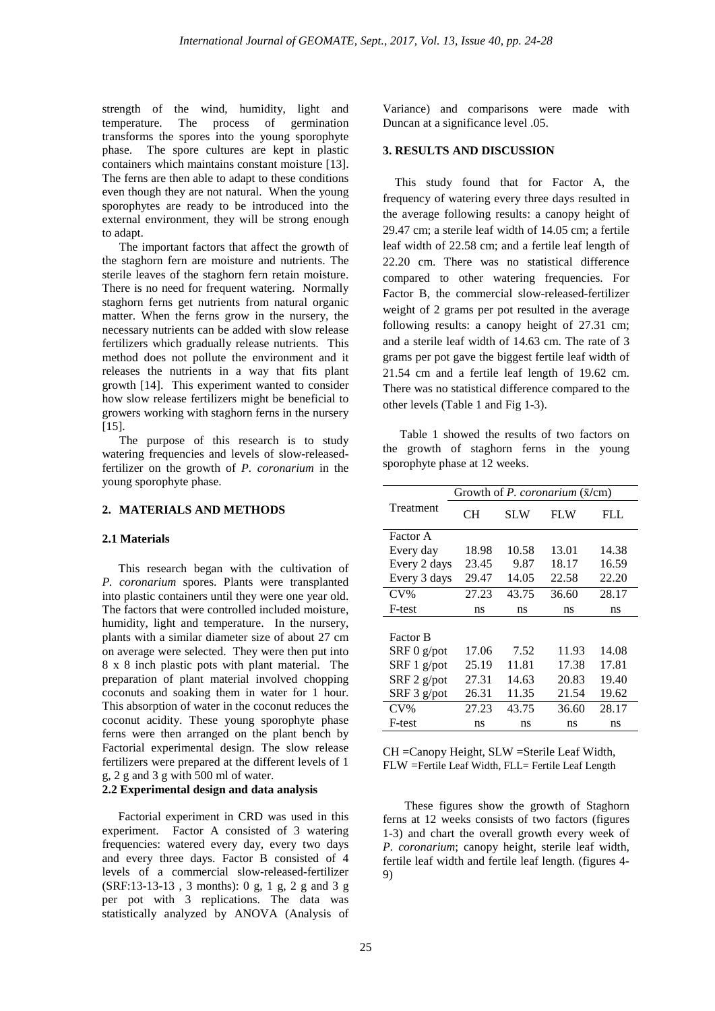strength of the wind, humidity, light and temperature. The process of germination transforms the spores into the young sporophyte phase. The spore cultures are kept in plastic containers which maintains constant moisture [13]. The ferns are then able to adapt to these conditions even though they are not natural. When the young sporophytes are ready to be introduced into the external environment, they will be strong enough to adapt.

The important factors that affect the growth of the staghorn fern are moisture and nutrients. The sterile leaves of the staghorn fern retain moisture. There is no need for frequent watering. Normally staghorn ferns get nutrients from natural organic matter. When the ferns grow in the nursery, the necessary nutrients can be added with slow release fertilizers which gradually release nutrients. This method does not pollute the environment and it releases the nutrients in a way that fits plant growth [14]. This experiment wanted to consider how slow release fertilizers might be beneficial to growers working with staghorn ferns in the nursery [15].

The purpose of this research is to study watering frequencies and levels of slow-releasedfertilizer on the growth of *P. coronarium* in the young sporophyte phase.

## **2. MATERIALS AND METHODS**

#### **2.1 Materials**

This research began with the cultivation of *P. coronarium* spores. Plants were transplanted into plastic containers until they were one year old. The factors that were controlled included moisture, humidity, light and temperature. In the nursery, plants with a similar diameter size of about 27 cm on average were selected. They were then put into 8 x 8 inch plastic pots with plant material. The preparation of plant material involved chopping coconuts and soaking them in water for 1 hour. This absorption of water in the coconut reduces the coconut acidity. These young sporophyte phase ferns were then arranged on the plant bench by Factorial experimental design. The slow release fertilizers were prepared at the different levels of 1 g, 2 g and 3 g with 500 ml of water.

#### **2.2 Experimental design and data analysis**

Factorial experiment in CRD was used in this experiment. Factor A consisted of 3 watering frequencies: watered every day, every two days and every three days. Factor B consisted of 4 levels of a commercial slow-released-fertilizer (SRF:13-13-13 , 3 months): 0 g, 1 g, 2 g and 3 g per pot with 3 replications. The data was statistically analyzed by ANOVA (Analysis of

Variance) and comparisons were made with Duncan at a significance level .05.

## **3. RESULTS AND DISCUSSION**

 This study found that for Factor A, the frequency of watering every three days resulted in the average following results: a canopy height of 29.47 cm; a sterile leaf width of 14.05 cm; a fertile leaf width of 22.58 cm; and a fertile leaf length of 22.20 cm. There was no statistical difference compared to other watering frequencies. For Factor B, the commercial slow-released-fertilizer weight of 2 grams per pot resulted in the average following results: a canopy height of 27.31 cm; and a sterile leaf width of 14.63 cm. The rate of 3 grams per pot gave the biggest fertile leaf width of 21.54 cm and a fertile leaf length of 19.62 cm. There was no statistical difference compared to the other levels (Table 1 and Fig 1-3).

Table 1 showed the results of two factors on the growth of staghorn ferns in the young sporophyte phase at 12 weeks.

|                 | Growth of P. coronarium (x/cm) |       |            |       |
|-----------------|--------------------------------|-------|------------|-------|
| Treatment       | CН                             | SLW   | <b>FLW</b> | FLL   |
| Factor A        |                                |       |            |       |
| Every day       | 18.98                          | 10.58 | 13.01      | 14.38 |
| Every 2 days    | 23.45                          | 9.87  | 18.17      | 16.59 |
| Every 3 days    | 29.47                          | 14.05 | 22.58      | 22.20 |
| $CV\%$          | 27.23                          | 43.75 | 36.60      | 28.17 |
| F-test          | ns                             | ns    | ns         | ns    |
|                 |                                |       |            |       |
| <b>Factor B</b> |                                |       |            |       |
| SRF 0 g/pot     | 17.06                          | 7.52  | 11.93      | 14.08 |
| SRF 1 g/pot     | 25.19                          | 11.81 | 17.38      | 17.81 |
| $SRF 2$ g/pot   | 27.31                          | 14.63 | 20.83      | 19.40 |
| SRF 3 g/pot     | 26.31                          | 11.35 | 21.54      | 19.62 |
| $CV\%$          | 27.23                          | 43.75 | 36.60      | 28.17 |
| F-test          | ns                             | ns    | ns         | ns    |

CH =Canopy Height, SLW =Sterile Leaf Width, FLW =Fertile Leaf Width, FLL= Fertile Leaf Length

These figures show the growth of Staghorn ferns at 12 weeks consists of two factors (figures 1-3) and chart the overall growth every week of *P. coronarium*; canopy height, sterile leaf width, fertile leaf width and fertile leaf length. (figures 4- 9)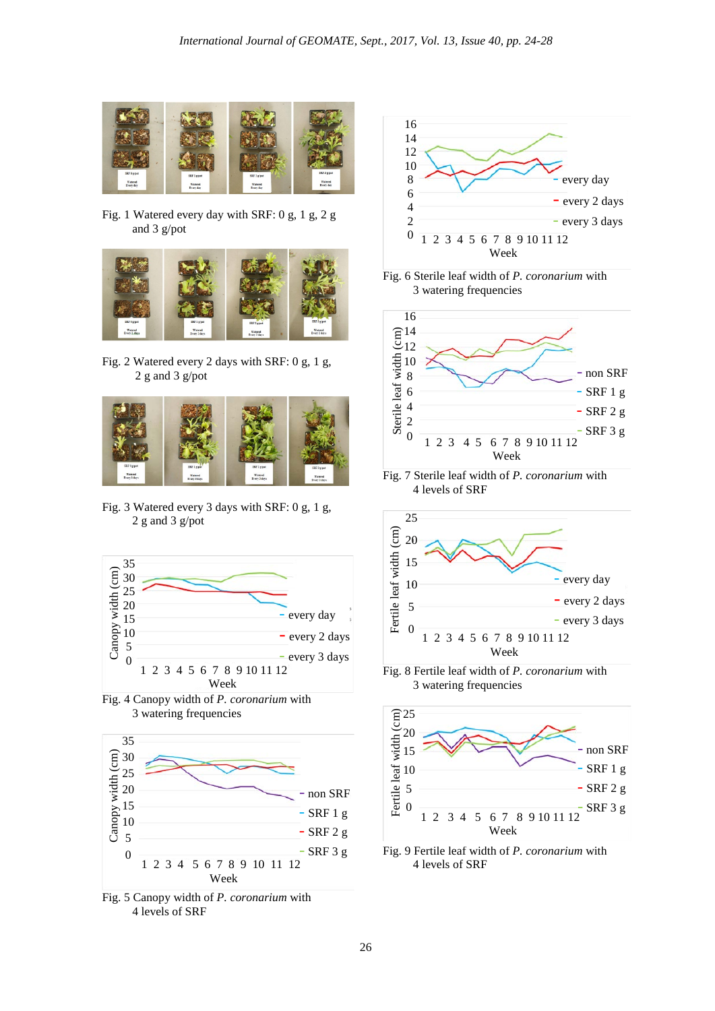

Fig. 1 Watered every day with SRF: 0 g, 1 g, 2 g and 3 g/pot



Fig. 2 Watered every 2 days with SRF: 0 g, 1 g, 2 g and 3 g/pot



Fig. 3 Watered every 3 days with SRF: 0 g, 1 g, 2 g and 3 g/pot



Fig. 4 Canopy width of *P. coronarium* with 3 watering frequencies



Fig. 5 Canopy width of *P. coronarium* with 4 levels of SRF



Fig. 6 Sterile leaf width of *P. coronarium* with 3 watering frequencies



Fig. 7 Sterile leaf width of *P. coronarium* with 4 levels of SRF



Fig. 8 Fertile leaf width of *P. coronarium* with 3 watering frequencies



Fig. 9 Fertile leaf width of *P. coronarium* with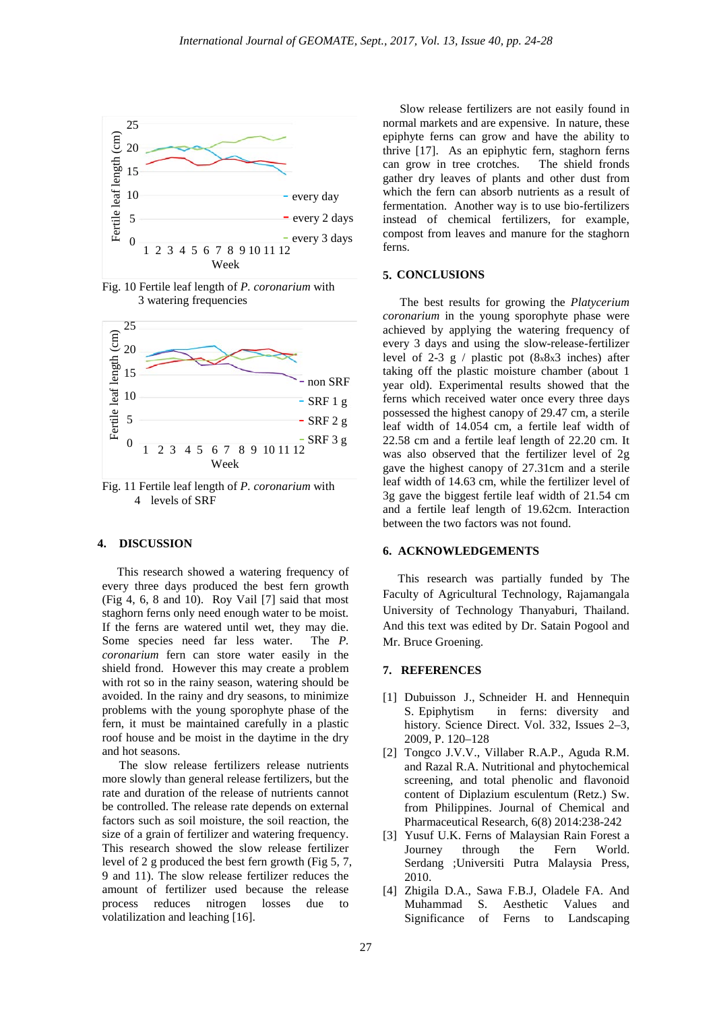

Fig. 10 Fertile leaf length of *P. coronarium* with 3 watering frequencies



Fig. 11 Fertile leaf length of *P. coronarium* with 4 levels of SRF

### **4. DISCUSSION**

 This research showed a watering frequency of every three days produced the best fern growth (Fig 4, 6, 8 and 10). Roy Vail [7] said that most staghorn ferns only need enough water to be moist. If the ferns are watered until wet, they may die. Some species need far less water. The *P. coronarium* fern can store water easily in the shield frond. However this may create a problem with rot so in the rainy season, watering should be avoided. In the rainy and dry seasons, to minimize problems with the young sporophyte phase of the fern, it must be maintained carefully in a plastic roof house and be moist in the daytime in the dry and hot seasons.

The slow release fertilizers release nutrients more slowly than general release fertilizers, but the rate and duration of the release of nutrients cannot be controlled. The release rate depends on external factors such as soil moisture, the soil reaction, the size of a grain of fertilizer and watering frequency. This research showed the slow release fertilizer level of 2 g produced the best fern growth (Fig 5, 7, 9 and 11). The slow release fertilizer reduces the amount of fertilizer used because the release process reduces nitrogen losses due to volatilization and leaching [16].

Slow release fertilizers are not easily found in normal markets and are expensive. In nature, these epiphyte ferns can grow and have the ability to thrive [17]. As an epiphytic fern, staghorn ferns can grow in tree crotches. The shield fronds gather dry leaves of plants and other dust from which the fern can absorb nutrients as a result of fermentation. Another way is to use bio-fertilizers instead of chemical fertilizers, for example, compost from leaves and manure for the staghorn ferns.

## **5. CONCLUSIONS**

The best results for growing the *Platycerium coronarium* in the young sporophyte phase were achieved by applying the watering frequency of every 3 days and using the slow-release-fertilizer level of 2-3 g / plastic pot  $(8 \times 8 \times 3)$  inches) after taking off the plastic moisture chamber (about 1 year old). Experimental results showed that the ferns which received water once every three days possessed the highest canopy of 29.47 cm, a sterile leaf width of 14.054 cm, a fertile leaf width of 22.58 cm and a fertile leaf length of 22.20 cm. It was also observed that the fertilizer level of 2g gave the highest canopy of 27.31cm and a sterile leaf width of 14.63 cm, while the fertilizer level of 3g gave the biggest fertile leaf width of 21.54 cm and a fertile leaf length of 19.62cm. Interaction between the two factors was not found.

## **6. ACKNOWLEDGEMENTS**

 This research was partially funded by The Faculty of Agricultural Technology, Rajamangala University of Technology Thanyaburi, Thailand. And this text was edited by Dr. Satain Pogool and Mr. Bruce Groening.

### **7. REFERENCES**

- [1] Dubuisson J., Schneider H. and Hennequin S. Epiphytism in ferns: diversity and history. Science Direct. Vol. 332, Issues 2–3, 2009, P. 120–128
- [2] Tongco J.V.V., Villaber R.A.P., Aguda R.M. and Razal R.A. Nutritional and phytochemical screening, and total phenolic and flavonoid content of Diplazium esculentum (Retz.) Sw. from Philippines. Journal of Chemical and Pharmaceutical Research, 6(8) 2014:238-242
- [3] Yusuf U.K. Ferns of Malaysian Rain Forest a Journey through the Fern World. Serdang ;Universiti Putra Malaysia Press, 2010.
- [4] Zhigila D.A., Sawa F.B.J, Oladele FA. And Muhammad S. Aesthetic Values and Significance of Ferns to Landscaping